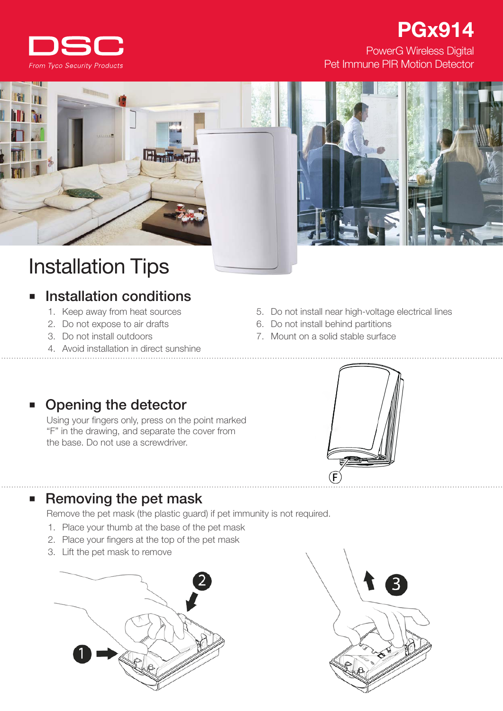

## PowerG Wireless Digital PGx914

Pet Immune PIR Motion Detector



# Installation Tips

## Installation conditions

- 1. Keep away from heat sources
- 2. Do not expose to air drafts
- 3. Do not install outdoors
- 4. Avoid installation in direct sunshine
- 5. Do not install near high-voltage electrical lines
- 6. Do not install behind partitions
- 7. Mount on a solid stable surface

## Opening the detector

Using your fingers only, press on the point marked "F" in the drawing, and separate the cover from the base. Do not use a screwdriver.



### ■ Removing the pet mask

Remove the pet mask (the plastic guard) if pet immunity is not required.

- 1. Place your thumb at the base of the pet mask
- 2. Place your fingers at the top of the pet mask
- 3. Lift the pet mask to remove